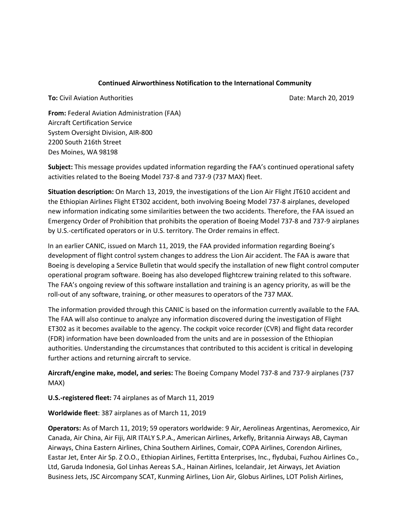## **Continued Airworthiness Notification to the International Community**

**To:** Civil Aviation Authorities Date: March 20, 2019

**From:** Federal Aviation Administration (FAA) Aircraft Certification Service System Oversight Division, AIR-800 2200 South 216th Street Des Moines, WA 98198

**Subject:** This message provides updated information regarding the FAA's continued operational safety activities related to the Boeing Model 737-8 and 737-9 (737 MAX) fleet.

**Situation description:** On March 13, 2019, the investigations of the Lion Air Flight JT610 accident and the Ethiopian Airlines Flight ET302 accident, both involving Boeing Model 737-8 airplanes, developed new information indicating some similarities between the two accidents. Therefore, the FAA issued an Emergency Order of Prohibition that prohibits the operation of Boeing Model 737-8 and 737-9 airplanes by U.S.-certificated operators or in U.S. territory. The Order remains in effect.

In an earlier CANIC, issued on March 11, 2019, the FAA provided information regarding Boeing's development of flight control system changes to address the Lion Air accident. The FAA is aware that Boeing is developing a Service Bulletin that would specify the installation of new flight control computer operational program software. Boeing has also developed flightcrew training related to this software. The FAA's ongoing review of this software installation and training is an agency priority, as will be the roll-out of any software, training, or other measures to operators of the 737 MAX.

The information provided through this CANIC is based on the information currently available to the FAA. The FAA will also continue to analyze any information discovered during the investigation of Flight ET302 as it becomes available to the agency. The cockpit voice recorder (CVR) and flight data recorder (FDR) information have been downloaded from the units and are in possession of the Ethiopian authorities. Understanding the circumstances that contributed to this accident is critical in developing further actions and returning aircraft to service.

**Aircraft/engine make, model, and series:** The Boeing Company Model 737-8 and 737-9 airplanes (737 MAX)

**U.S.-registered fleet:** 74 airplanes as of March 11, 2019

**Worldwide fleet**: 387 airplanes as of March 11, 2019

**Operators:** As of March 11, 2019; 59 operators worldwide: 9 Air, Aerolineas Argentinas, Aeromexico, Air Canada, Air China, Air Fiji, AIR ITALY S.P.A., American Airlines, Arkefly, Britannia Airways AB, Cayman Airways, China Eastern Airlines, China Southern Airlines, Comair, COPA Airlines, Corendon Airlines, Eastar Jet, Enter Air Sp. Z O.O., Ethiopian Airlines, Fertitta Enterprises, Inc., flydubai, Fuzhou Airlines Co., Ltd, Garuda Indonesia, Gol Linhas Aereas S.A., Hainan Airlines, Icelandair, Jet Airways, Jet Aviation Business Jets, JSC Aircompany SCAT, Kunming Airlines, Lion Air, Globus Airlines, LOT Polish Airlines,